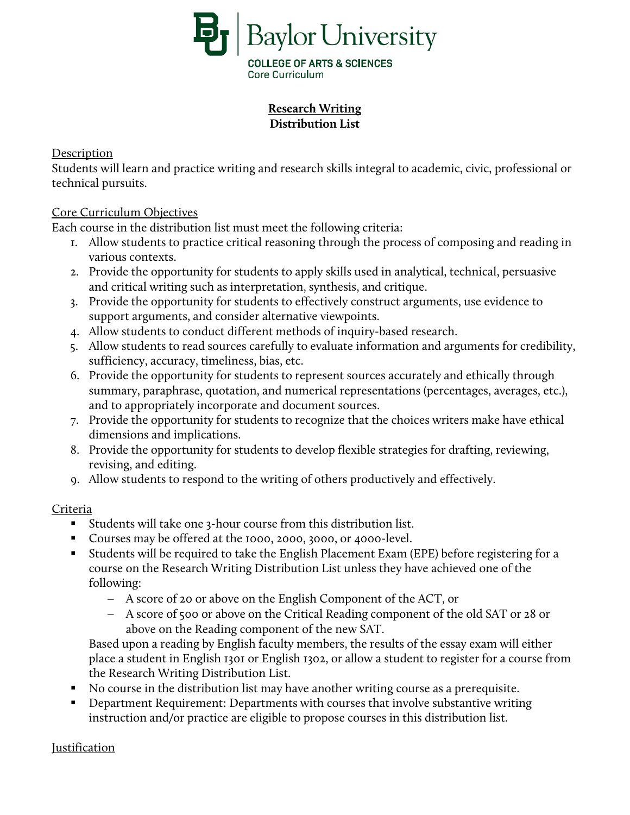

## **Research Writing Distribution List**

Description

Students will learn and practice writing and research skills integral to academic, civic, professional or technical pursuits.

## Core Curriculum Objectives

Each course in the distribution list must meet the following criteria:

- 1. Allow students to practice critical reasoning through the process of composing and reading in various contexts.
- 2. Provide the opportunity for students to apply skills used in analytical, technical, persuasive and critical writing such as interpretation, synthesis, and critique.
- 3. Provide the opportunity for students to effectively construct arguments, use evidence to support arguments, and consider alternative viewpoints.
- 4. Allow students to conduct different methods of inquiry-based research.
- 5. Allow students to read sources carefully to evaluate information and arguments for credibility, sufficiency, accuracy, timeliness, bias, etc.
- 6. Provide the opportunity for students to represent sources accurately and ethically through summary, paraphrase, quotation, and numerical representations (percentages, averages, etc.), and to appropriately incorporate and document sources.
- 7. Provide the opportunity for students to recognize that the choices writers make have ethical dimensions and implications.
- 8. Provide the opportunity for students to develop flexible strategies for drafting, reviewing, revising, and editing.
- 9. Allow students to respond to the writing of others productively and effectively.

## Criteria

- Students will take one 3-hour course from this distribution list.
- Courses may be offered at the 1000, 2000, 3000, or 4000-level.
- Students will be required to take the English Placement Exam (EPE) before registering for a course on the Research Writing Distribution List unless they have achieved one of the following:
	- − A score of 20 or above on the English Component of the ACT, or
	- − A score of 500 or above on the Critical Reading component of the old SAT or 28 or above on the Reading component of the new SAT.

Based upon a reading by English faculty members, the results of the essay exam will either place a student in English 1301 or English 1302, or allow a student to register for a course from the Research Writing Distribution List.

- No course in the distribution list may have another writing course as a prerequisite.
- Department Requirement: Departments with courses that involve substantive writing instruction and/or practice are eligible to propose courses in this distribution list.

## Justification